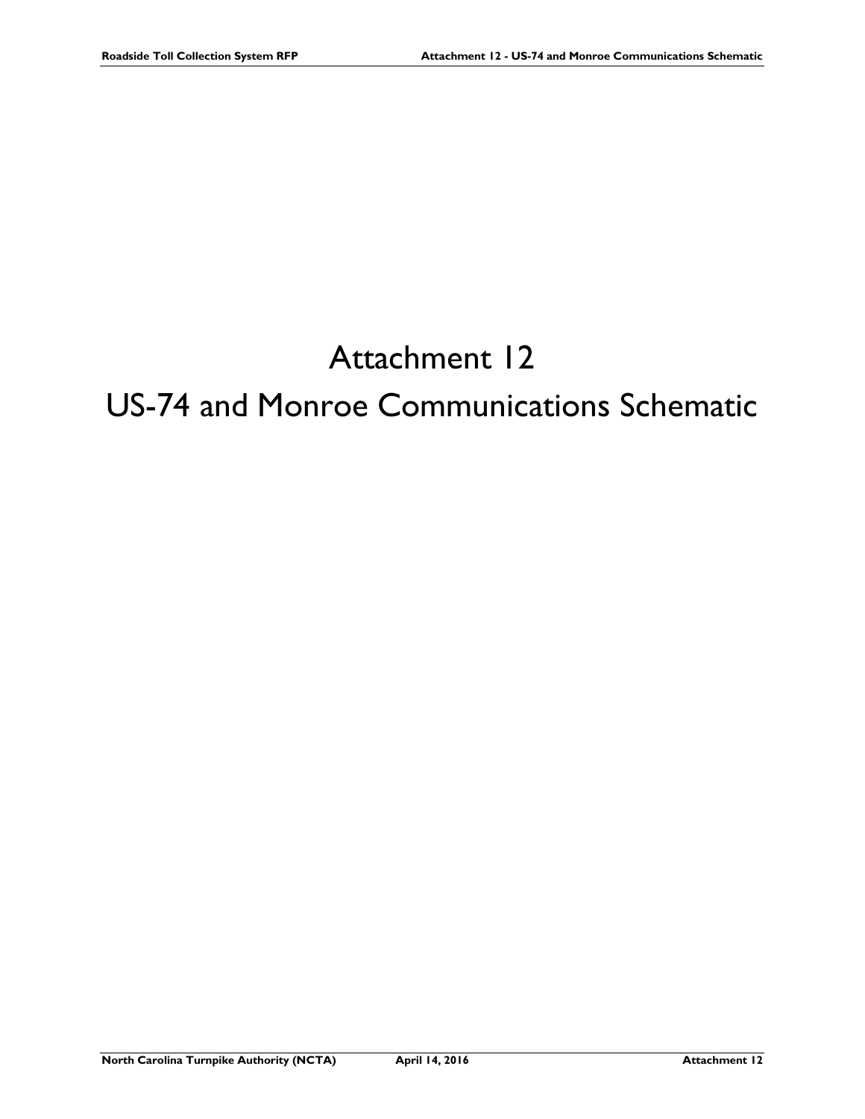## Attachment 12

## US-74 and Monroe Communications Schematic